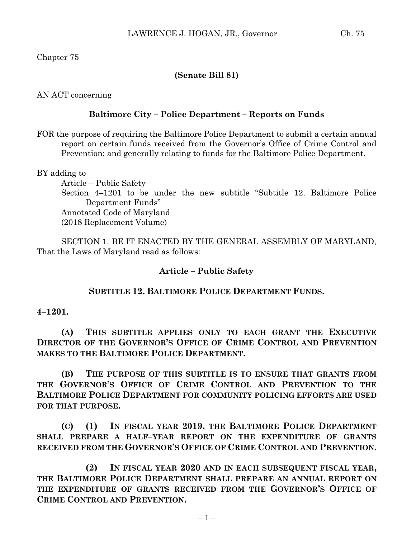Chapter 75

# **(Senate Bill 81)**

AN ACT concerning

## **Baltimore City – Police Department – Reports on Funds**

FOR the purpose of requiring the Baltimore Police Department to submit a certain annual report on certain funds received from the Governor's Office of Crime Control and Prevention; and generally relating to funds for the Baltimore Police Department.

BY adding to

Article – Public Safety Section 4–1201 to be under the new subtitle "Subtitle 12. Baltimore Police Department Funds" Annotated Code of Maryland (2018 Replacement Volume)

SECTION 1. BE IT ENACTED BY THE GENERAL ASSEMBLY OF MARYLAND, That the Laws of Maryland read as follows:

### **Article – Public Safety**

# **SUBTITLE 12. BALTIMORE POLICE DEPARTMENT FUNDS.**

### **4–1201.**

**(A) THIS SUBTITLE APPLIES ONLY TO EACH GRANT THE EXECUTIVE DIRECTOR OF THE GOVERNOR'S OFFICE OF CRIME CONTROL AND PREVENTION MAKES TO THE BALTIMORE POLICE DEPARTMENT.**

**(B) THE PURPOSE OF THIS SUBTITLE IS TO ENSURE THAT GRANTS FROM THE GOVERNOR'S OFFICE OF CRIME CONTROL AND PREVENTION TO THE BALTIMORE POLICE DEPARTMENT FOR COMMUNITY POLICING EFFORTS ARE USED FOR THAT PURPOSE.**

**(C) (1) IN FISCAL YEAR 2019, THE BALTIMORE POLICE DEPARTMENT SHALL PREPARE A HALF–YEAR REPORT ON THE EXPENDITURE OF GRANTS RECEIVED FROM THE GOVERNOR'S OFFICE OF CRIME CONTROL AND PREVENTION.**

**(2) IN FISCAL YEAR 2020 AND IN EACH SUBSEQUENT FISCAL YEAR, THE BALTIMORE POLICE DEPARTMENT SHALL PREPARE AN ANNUAL REPORT ON THE EXPENDITURE OF GRANTS RECEIVED FROM THE GOVERNOR'S OFFICE OF CRIME CONTROL AND PREVENTION.**